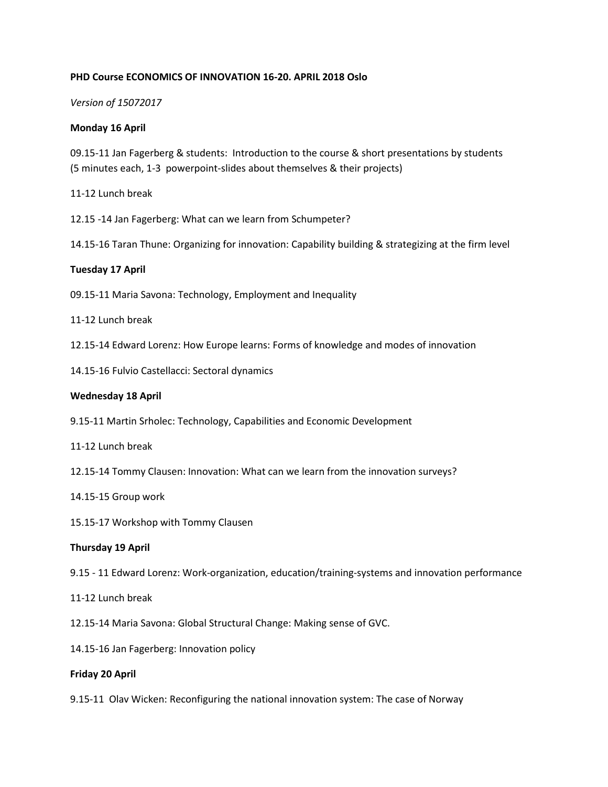# **PHD Course ECONOMICS OF INNOVATION 16-20. APRIL 2018 Oslo**

## *Version of 15072017*

## **Monday 16 April**

09.15-11 Jan Fagerberg & students: Introduction to the course & short presentations by students (5 minutes each, 1-3 powerpoint-slides about themselves & their projects)

- 11-12 Lunch break
- 12.15 -14 Jan Fagerberg: What can we learn from Schumpeter?
- 14.15-16 Taran Thune: Organizing for innovation: Capability building & strategizing at the firm level

## **Tuesday 17 April**

- 09.15-11 Maria Savona: Technology, Employment and Inequality
- 11-12 Lunch break
- 12.15-14 Edward Lorenz: How Europe learns: Forms of knowledge and modes of innovation
- 14.15-16 Fulvio Castellacci: Sectoral dynamics

### **Wednesday 18 April**

- 9.15-11 Martin Srholec: Technology, Capabilities and Economic Development
- 11-12 Lunch break
- 12.15-14 Tommy Clausen: Innovation: What can we learn from the innovation surveys?
- 14.15-15 Group work
- 15.15-17 Workshop with Tommy Clausen

#### **Thursday 19 April**

- 9.15 11 Edward Lorenz: Work-organization, education/training-systems and innovation performance
- 11-12 Lunch break
- 12.15-14 Maria Savona: Global Structural Change: Making sense of GVC.
- 14.15-16 Jan Fagerberg: Innovation policy

#### **Friday 20 April**

9.15-11 Olav Wicken: Reconfiguring the national innovation system: The case of Norway